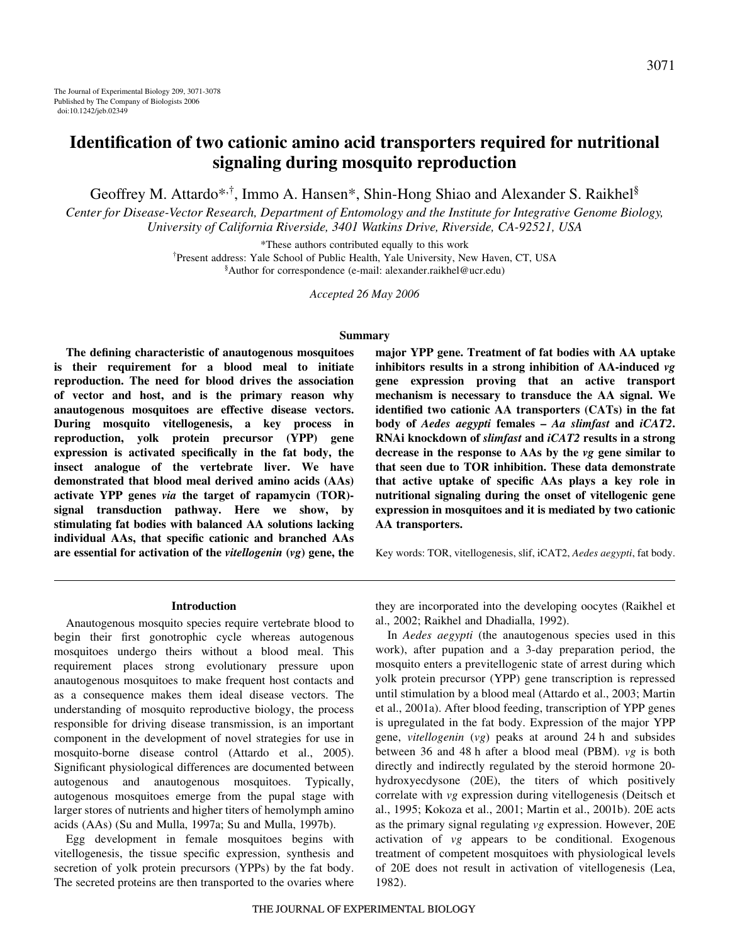# **Identification of two cationic amino acid transporters required for nutritional signaling during mosquito reproduction**

Geoffrey M. Attardo\*,<sup>†</sup>, Immo A. Hansen\*, Shin-Hong Shiao and Alexander S. Raikhel<sup>§</sup>

*Center for Disease-Vector Research, Department of Entomology and the Institute for Integrative Genome Biology, University of California Riverside, 3401 Watkins Drive, Riverside, CA-92521, USA*

\*These authors contributed equally to this work

† Present address: Yale School of Public Health, Yale University, New Haven, CT, USA § Author for correspondence (e-mail: alexander.raikhel@ucr.edu)

*Accepted 26 May 2006*

#### **Summary**

**The defining characteristic of anautogenous mosquitoes is their requirement for a blood meal to initiate reproduction. The need for blood drives the association of vector and host, and is the primary reason why anautogenous mosquitoes are effective disease vectors. During mosquito vitellogenesis, a key process in reproduction, yolk protein precursor (YPP) gene expression is activated specifically in the fat body, the insect analogue of the vertebrate liver. We have demonstrated that blood meal derived amino acids (AAs) activate YPP genes** *via* **the target of rapamycin (TOR) signal transduction pathway. Here we show, by stimulating fat bodies with balanced AA solutions lacking individual AAs, that specific cationic and branched AAs are essential for activation of the** *vitellogenin* **(***vg***) gene, the**

**major YPP gene. Treatment of fat bodies with AA uptake inhibitors results in a strong inhibition of AA-induced** *vg* **gene expression proving that an active transport mechanism is necessary to transduce the AA signal. We identified two cationic AA transporters (CATs) in the fat body of** *Aedes aegypti* **females –** *Aa slimfast* **and** *iCAT2***. RNAi knockdown of** *slimfast* **and** *iCAT2* **results in a strong decrease in the response to AAs by the** *vg* **gene similar to that seen due to TOR inhibition. These data demonstrate that active uptake of specific AAs plays a key role in nutritional signaling during the onset of vitellogenic gene expression in mosquitoes and it is mediated by two cationic AA transporters.**

Key words: TOR, vitellogenesis, slif, iCAT2, *Aedes aegypti*, fat body.

#### **Introduction**

Anautogenous mosquito species require vertebrate blood to begin their first gonotrophic cycle whereas autogenous mosquitoes undergo theirs without a blood meal. This requirement places strong evolutionary pressure upon anautogenous mosquitoes to make frequent host contacts and as a consequence makes them ideal disease vectors. The understanding of mosquito reproductive biology, the process responsible for driving disease transmission, is an important component in the development of novel strategies for use in mosquito-borne disease control (Attardo et al., 2005). Significant physiological differences are documented between autogenous and anautogenous mosquitoes. Typically, autogenous mosquitoes emerge from the pupal stage with larger stores of nutrients and higher titers of hemolymph amino acids (AAs) (Su and Mulla, 1997a; Su and Mulla, 1997b).

Egg development in female mosquitoes begins with vitellogenesis, the tissue specific expression, synthesis and secretion of yolk protein precursors (YPPs) by the fat body. The secreted proteins are then transported to the ovaries where

they are incorporated into the developing oocytes (Raikhel et al., 2002; Raikhel and Dhadialla, 1992).

In *Aedes aegypti* (the anautogenous species used in this work), after pupation and a 3-day preparation period, the mosquito enters a previtellogenic state of arrest during which yolk protein precursor (YPP) gene transcription is repressed until stimulation by a blood meal (Attardo et al., 2003; Martin et al., 2001a). After blood feeding, transcription of YPP genes is upregulated in the fat body. Expression of the major YPP gene, *vitellogenin* (*vg*) peaks at around 24 h and subsides between 36 and 48 h after a blood meal (PBM). *vg* is both directly and indirectly regulated by the steroid hormone 20 hydroxyecdysone (20E), the titers of which positively correlate with *vg* expression during vitellogenesis (Deitsch et al., 1995; Kokoza et al., 2001; Martin et al., 2001b). 20E acts as the primary signal regulating *vg* expression. However, 20E activation of *vg* appears to be conditional. Exogenous treatment of competent mosquitoes with physiological levels of 20E does not result in activation of vitellogenesis (Lea, 1982).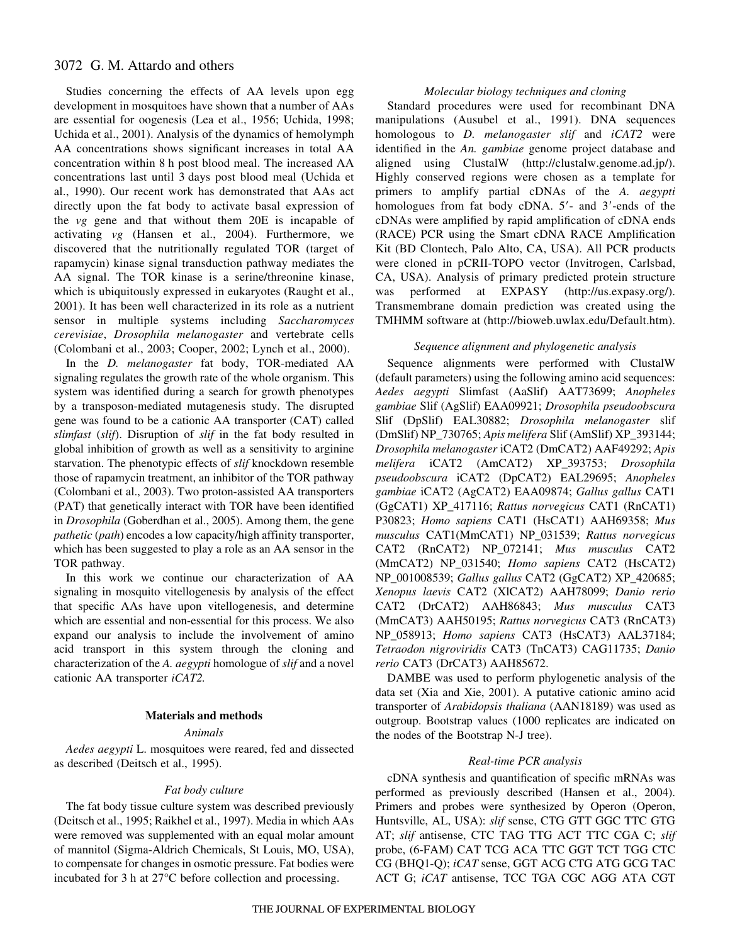## 3072 G. M. Attardo and others

Studies concerning the effects of AA levels upon egg development in mosquitoes have shown that a number of AAs are essential for oogenesis (Lea et al., 1956; Uchida, 1998; Uchida et al., 2001). Analysis of the dynamics of hemolymph AA concentrations shows significant increases in total AA concentration within 8 h post blood meal. The increased AA concentrations last until 3 days post blood meal (Uchida et al., 1990). Our recent work has demonstrated that AAs act directly upon the fat body to activate basal expression of the *vg* gene and that without them 20E is incapable of activating *vg* (Hansen et al., 2004). Furthermore, we discovered that the nutritionally regulated TOR (target of rapamycin) kinase signal transduction pathway mediates the AA signal. The TOR kinase is a serine/threonine kinase, which is ubiquitously expressed in eukaryotes (Raught et al., 2001). It has been well characterized in its role as a nutrient sensor in multiple systems including *Saccharomyces cerevisiae*, *Drosophila melanogaster* and vertebrate cells (Colombani et al., 2003; Cooper, 2002; Lynch et al., 2000).

In the *D. melanogaster* fat body, TOR-mediated AA signaling regulates the growth rate of the whole organism. This system was identified during a search for growth phenotypes by a transposon-mediated mutagenesis study. The disrupted gene was found to be a cationic AA transporter (CAT) called *slimfast* (*slif*). Disruption of *slif* in the fat body resulted in global inhibition of growth as well as a sensitivity to arginine starvation. The phenotypic effects of *slif* knockdown resemble those of rapamycin treatment, an inhibitor of the TOR pathway (Colombani et al., 2003). Two proton-assisted AA transporters (PAT) that genetically interact with TOR have been identified in *Drosophila* (Goberdhan et al., 2005). Among them, the gene *pathetic* (*path*) encodes a low capacity/high affinity transporter, which has been suggested to play a role as an AA sensor in the TOR pathway.

In this work we continue our characterization of AA signaling in mosquito vitellogenesis by analysis of the effect that specific AAs have upon vitellogenesis, and determine which are essential and non-essential for this process. We also expand our analysis to include the involvement of amino acid transport in this system through the cloning and characterization of the *A. aegypti* homologue of *slif* and a novel cationic AA transporter *iCAT2.*

#### **Materials and methods**

### *Animals*

*Aedes aegypti* L. mosquitoes were reared, fed and dissected as described (Deitsch et al., 1995).

#### *Fat body culture*

The fat body tissue culture system was described previously (Deitsch et al., 1995; Raikhel et al., 1997). Media in which AAs were removed was supplemented with an equal molar amount of mannitol (Sigma-Aldrich Chemicals, St Louis, MO, USA), to compensate for changes in osmotic pressure. Fat bodies were incubated for 3 h at  $27^{\circ}$ C before collection and processing.

### *Molecular biology techniques and cloning*

Standard procedures were used for recombinant DNA manipulations (Ausubel et al., 1991). DNA sequences homologous to *D. melanogaster slif* and *iCAT2* were identified in the *An. gambiae* genome project database and aligned using ClustalW (http://clustalw.genome.ad.jp/). Highly conserved regions were chosen as a template for primers to amplify partial cDNAs of the *A. aegypti* homologues from fat body cDNA. 5'- and 3'-ends of the cDNAs were amplified by rapid amplification of cDNA ends (RACE) PCR using the Smart cDNA RACE Amplification Kit (BD Clontech, Palo Alto, CA, USA). All PCR products were cloned in pCRII-TOPO vector (Invitrogen, Carlsbad, CA, USA). Analysis of primary predicted protein structure was performed at EXPASY (http://us.expasy.org/). Transmembrane domain prediction was created using the TMHMM software at (http://bioweb.uwlax.edu/Default.htm).

#### *Sequence alignment and phylogenetic analysis*

Sequence alignments were performed with ClustalW (default parameters) using the following amino acid sequences: *Aedes aegypti* Slimfast (AaSlif) AAT73699; *Anopheles gambiae* Slif (AgSlif) EAA09921; *Drosophila pseudoobscura* Slif (DpSlif) EAL30882; *Drosophila melanogaster* slif (DmSlif) NP\_730765; *Apis melifera* Slif (AmSlif) XP\_393144; *Drosophila melanogaster* iCAT2 (DmCAT2) AAF49292; *Apis melifera* iCAT2 (AmCAT2) XP\_393753; *Drosophila pseudoobscura* iCAT2 (DpCAT2) EAL29695; *Anopheles gambiae* iCAT2 (AgCAT2) EAA09874; *Gallus gallus* CAT1 (GgCAT1) XP\_417116; *Rattus norvegicus* CAT1 (RnCAT1) P30823; *Homo sapiens* CAT1 (HsCAT1) AAH69358; *Mus musculus* CAT1(MmCAT1) NP\_031539; *Rattus norvegicus* CAT2 (RnCAT2) NP\_072141; *Mus musculus* CAT2 (MmCAT2) NP\_031540; *Homo sapiens* CAT2 (HsCAT2) NP\_001008539; *Gallus gallus* CAT2 (GgCAT2) XP\_420685; *Xenopus laevis* CAT2 (XlCAT2) AAH78099; *Danio rerio* CAT2 (DrCAT2) AAH86843; *Mus musculus* CAT3 (MmCAT3) AAH50195; *Rattus norvegicus* CAT3 (RnCAT3) NP\_058913; *Homo sapiens* CAT3 (HsCAT3) AAL37184; *Tetraodon nigroviridis* CAT3 (TnCAT3) CAG11735; *Danio rerio* CAT3 (DrCAT3) AAH85672.

DAMBE was used to perform phylogenetic analysis of the data set (Xia and Xie, 2001). A putative cationic amino acid transporter of *Arabidopsis thaliana* (AAN18189) was used as outgroup. Bootstrap values (1000 replicates are indicated on the nodes of the Bootstrap N-J tree).

#### *Real-time PCR analysis*

cDNA synthesis and quantification of specific mRNAs was performed as previously described (Hansen et al., 2004). Primers and probes were synthesized by Operon (Operon, Huntsville, AL, USA): *slif* sense, CTG GTT GGC TTC GTG AT; *slif* antisense, CTC TAG TTG ACT TTC CGA C; *slif* probe, (6-FAM) CAT TCG ACA TTC GGT TCT TGG CTC CG (BHQ1-Q); *iCAT* sense, GGT ACG CTG ATG GCG TAC ACT G; *iCAT* antisense, TCC TGA CGC AGG ATA CGT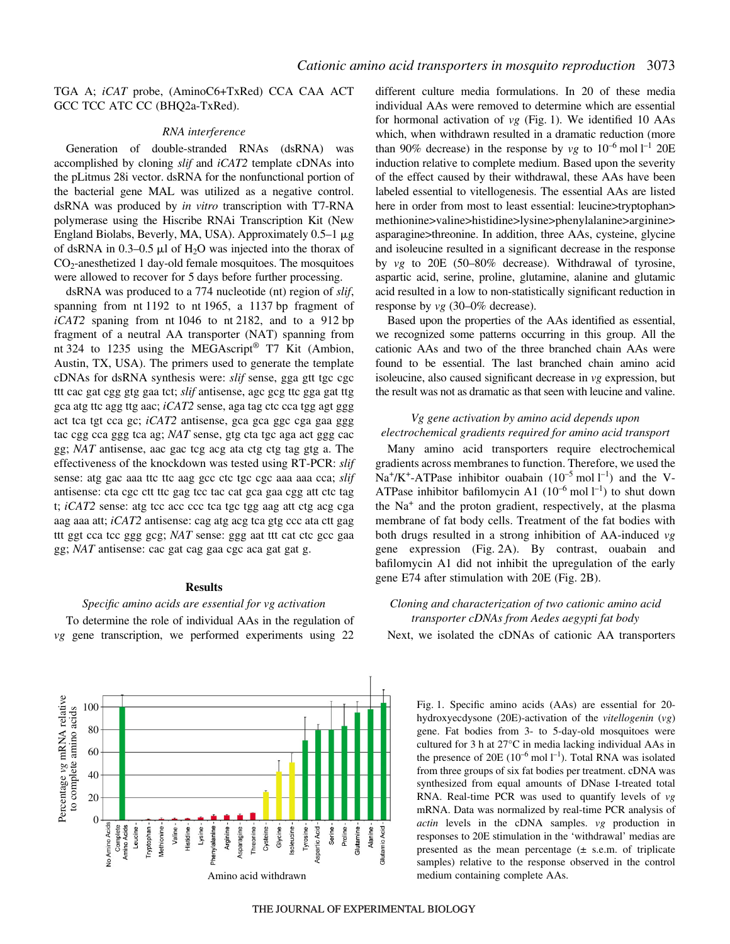TGA A; *iCAT* probe, (AminoC6+TxRed) CCA CAA ACT GCC TCC ATC CC (BHQ2a-TxRed).

#### *RNA interference*

Generation of double-stranded RNAs (dsRNA) was accomplished by cloning *slif* and *iCAT2* template cDNAs into the pLitmus 28i vector. dsRNA for the nonfunctional portion of the bacterial gene MAL was utilized as a negative control. dsRNA was produced by *in vitro* transcription with T7-RNA polymerase using the Hiscribe RNAi Transcription Kit (New England Biolabs, Beverly, MA, USA). Approximately  $0.5-1~\mu$ g of dsRNA in 0.3–0.5  $\mu$ l of H<sub>2</sub>O was injected into the thorax of  $CO<sub>2</sub>$ -anesthetized 1 day-old female mosquitoes. The mosquitoes were allowed to recover for 5 days before further processing.

dsRNA was produced to a 774 nucleotide (nt) region of *slif*, spanning from nt 1192 to nt 1965, a 1137 bp fragment of  $iCAT2$  spaning from nt 1046 to nt 2182, and to a 912 bp fragment of a neutral AA transporter (NAT) spanning from nt 324 to 1235 using the MEGAscript<sup>®</sup> T7 Kit (Ambion, Austin, TX, USA). The primers used to generate the template cDNAs for dsRNA synthesis were: *slif* sense, gga gtt tgc cgc ttt cac gat cgg gtg gaa tct; *slif* antisense, agc gcg ttc gga gat ttg gca atg ttc agg ttg aac; *iCAT2* sense, aga tag ctc cca tgg agt ggg act tca tgt cca gc; *iCAT2* antisense, gca gca ggc cga gaa ggg tac cgg cca ggg tca ag; *NAT* sense, gtg cta tgc aga act ggg cac gg; *NAT* antisense, aac gac tcg acg ata ctg ctg tag gtg a. The effectiveness of the knockdown was tested using RT-PCR: *slif* sense: atg gac aaa ttc ttc aag gcc ctc tgc cgc aaa aaa cca; *slif* antisense: cta cgc ctt ttc gag tcc tac cat gca gaa cgg att ctc tag t; *iCAT2* sense: atg tcc acc ccc tca tgc tgg aag att ctg acg cga aag aaa att; *iCAT2* antisense: cag atg acg tca gtg ccc ata ctt gag ttt ggt cca tcc ggg gcg; *NAT* sense: ggg aat ttt cat ctc gcc gaa gg; *NAT* antisense: cac gat cag gaa cgc aca gat gat g.

### **Results**

#### *Specific amino acids are essential for vg activation*

To determine the role of individual AAs in the regulation of *vg* gene transcription, we performed experiments using 22



different culture media formulations. In 20 of these media individual AAs were removed to determine which are essential for hormonal activation of *vg* (Fig. 1). We identified 10 AAs which, when withdrawn resulted in a dramatic reduction (more than 90% decrease) in the response by  $vg$  to  $10^{-6}$  mol  $l^{-1}$  20E induction relative to complete medium. Based upon the severity of the effect caused by their withdrawal, these AAs have been labeled essential to vitellogenesis. The essential AAs are listed here in order from most to least essential: leucine>tryptophan> methionine>valine>histidine>lysine>phenylalanine>arginine> asparagine>threonine. In addition, three AAs, cysteine, glycine and isoleucine resulted in a significant decrease in the response by *vg* to 20E (50–80% decrease). Withdrawal of tyrosine, aspartic acid, serine, proline, glutamine, alanine and glutamic acid resulted in a low to non-statistically significant reduction in response by *vg* (30–0% decrease).

Based upon the properties of the AAs identified as essential, we recognized some patterns occurring in this group. All the cationic AAs and two of the three branched chain AAs were found to be essential. The last branched chain amino acid isoleucine, also caused significant decrease in *vg* expression, but the result was not as dramatic as that seen with leucine and valine.

### *Vg gene activation by amino acid depends upon electrochemical gradients required for amino acid transport*

Many amino acid transporters require electrochemical gradients across membranes to function. Therefore, we used the  $Na^+/K^+$ -ATPase inhibitor ouabain  $(10^{-5} \text{ mol } l^{-1})$  and the V-ATPase inhibitor bafilomycin A1  $(10^{-6} \text{ mol } l^{-1})$  to shut down the  $Na<sup>+</sup>$  and the proton gradient, respectively, at the plasma membrane of fat body cells. Treatment of the fat bodies with both drugs resulted in a strong inhibition of AA-induced *vg* gene expression (Fig. 2A). By contrast, ouabain and bafilomycin A1 did not inhibit the upregulation of the early gene E74 after stimulation with 20E (Fig. 2B).

## *Cloning and characterization of two cationic amino acid transporter cDNAs from Aedes aegypti fat body*

Next, we isolated the cDNAs of cationic AA transporters

Fig. 1. Specific amino acids (AAs) are essential for 20hydroxyecdysone (20E)-activation of the *vitellogenin* (*vg*) gene. Fat bodies from 3- to 5-day-old mosquitoes were cultured for 3 h at  $27^{\circ}$ C in media lacking individual AAs in the presence of 20E  $(10^{-6} \text{ mol } l^{-1})$ . Total RNA was isolated from three groups of six fat bodies per treatment. cDNA was synthesized from equal amounts of DNase I-treated total RNA. Real-time PCR was used to quantify levels of *vg* mRNA. Data was normalized by real-time PCR analysis of *actin* levels in the cDNA samples. *vg* production in responses to 20E stimulation in the 'withdrawal' medias are presented as the mean percentage  $(\pm \text{ s.e.m. of triplicate})$ samples) relative to the response observed in the control medium containing complete AAs.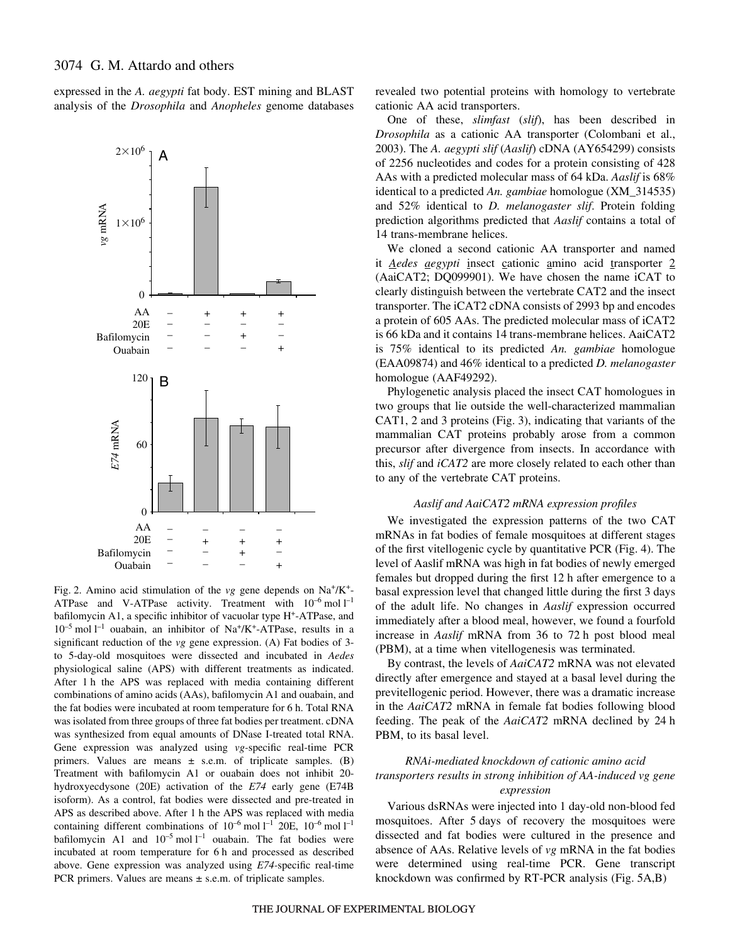expressed in the *A. aegypti* fat body. EST mining and BLAST analysis of the *Drosophila* and *Anopheles* genome databases



Fig. 2. Amino acid stimulation of the  $vg$  gene depends on Na<sup>+</sup>/K<sup>+</sup>-ATPase and V-ATPase activity. Treatment with  $10^{-6}$  mol  $1^{-1}$ bafilomycin A1, a specific inhibitor of vacuolar type H+-ATPase, and  $10^{-5}$  mol  $l^{-1}$  ouabain, an inhibitor of Na<sup>+</sup>/K<sup>+</sup>-ATPase, results in a significant reduction of the *vg* gene expression. (A) Fat bodies of 3 to 5-day-old mosquitoes were dissected and incubated in *Aedes* physiological saline (APS) with different treatments as indicated. After 1 h the APS was replaced with media containing different combinations of amino acids (AAs), bafilomycin A1 and ouabain, and the fat bodies were incubated at room temperature for 6 h. Total RNA was isolated from three groups of three fat bodies per treatment. cDNA was synthesized from equal amounts of DNase I-treated total RNA. Gene expression was analyzed using *vg-*specific real-time PCR primers. Values are means  $\pm$  s.e.m. of triplicate samples. (B) Treatment with bafilomycin A1 or ouabain does not inhibit 20 hydroxyecdysone (20E) activation of the *E74* early gene (E74B isoform). As a control, fat bodies were dissected and pre-treated in APS as described above. After 1 h the APS was replaced with media containing different combinations of  $10^{-6}$  mol  $l^{-1}$  20E,  $10^{-6}$  mol  $l^{-1}$ bafilomycin A1 and  $10^{-5}$  mol  $l^{-1}$  ouabain. The fat bodies were incubated at room temperature for 6 h and processed as described above. Gene expression was analyzed using *E74-*specific real-time PCR primers. Values are means  $\pm$  s.e.m. of triplicate samples.

revealed two potential proteins with homology to vertebrate cationic AA acid transporters.

One of these, *slimfast* (*slif*), has been described in *Drosophila* as a cationic AA transporter (Colombani et al., 2003). The *A. aegypti slif* (*Aaslif*) cDNA (AY654299) consists of 2256 nucleotides and codes for a protein consisting of 428 AAs with a predicted molecular mass of 64·kDa. *Aaslif* is 68% identical to a predicted *An. gambiae* homologue (XM\_314535) and 52% identical to *D. melanogaster slif*. Protein folding prediction algorithms predicted that *Aaslif* contains a total of 14 trans-membrane helices.

We cloned a second cationic AA transporter and named it *Aedes aegypti* insect cationic amino acid transporter 2 (AaiCAT2; DQ099901). We have chosen the name iCAT to clearly distinguish between the vertebrate CAT2 and the insect transporter. The iCAT2 cDNA consists of 2993 bp and encodes a protein of 605 AAs. The predicted molecular mass of iCAT2 is 66 kDa and it contains 14 trans-membrane helices. AaiCAT2 is 75% identical to its predicted *An. gambiae* homologue (EAA09874) and 46% identical to a predicted *D. melanogaster* homologue (AAF49292).

Phylogenetic analysis placed the insect CAT homologues in two groups that lie outside the well-characterized mammalian CAT1, 2 and 3 proteins (Fig. 3), indicating that variants of the mammalian CAT proteins probably arose from a common precursor after divergence from insects. In accordance with this, *slif* and *iCAT2* are more closely related to each other than to any of the vertebrate CAT proteins.

#### *Aaslif and AaiCAT2 mRNA expression profiles*

We investigated the expression patterns of the two CAT mRNAs in fat bodies of female mosquitoes at different stages of the first vitellogenic cycle by quantitative PCR (Fig. 4). The level of Aaslif mRNA was high in fat bodies of newly emerged females but dropped during the first 12 h after emergence to a basal expression level that changed little during the first 3 days of the adult life. No changes in *Aaslif* expression occurred immediately after a blood meal, however, we found a fourfold increase in *Aaslif* mRNA from 36 to 72 h post blood meal (PBM), at a time when vitellogenesis was terminated.

By contrast, the levels of *AaiCAT2* mRNA was not elevated directly after emergence and stayed at a basal level during the previtellogenic period. However, there was a dramatic increase in the *AaiCAT2* mRNA in female fat bodies following blood feeding. The peak of the *AaiCAT2* mRNA declined by 24 h PBM, to its basal level.

### *RNAi-mediated knockdown of cationic amino acid transporters results in strong inhibition of AA-induced vg gene expression*

Various dsRNAs were injected into 1 day-old non-blood fed mosquitoes. After 5 days of recovery the mosquitoes were dissected and fat bodies were cultured in the presence and absence of AAs. Relative levels of *vg* mRNA in the fat bodies were determined using real-time PCR. Gene transcript knockdown was confirmed by  $RT-PCR$  analysis (Fig. 5A,B)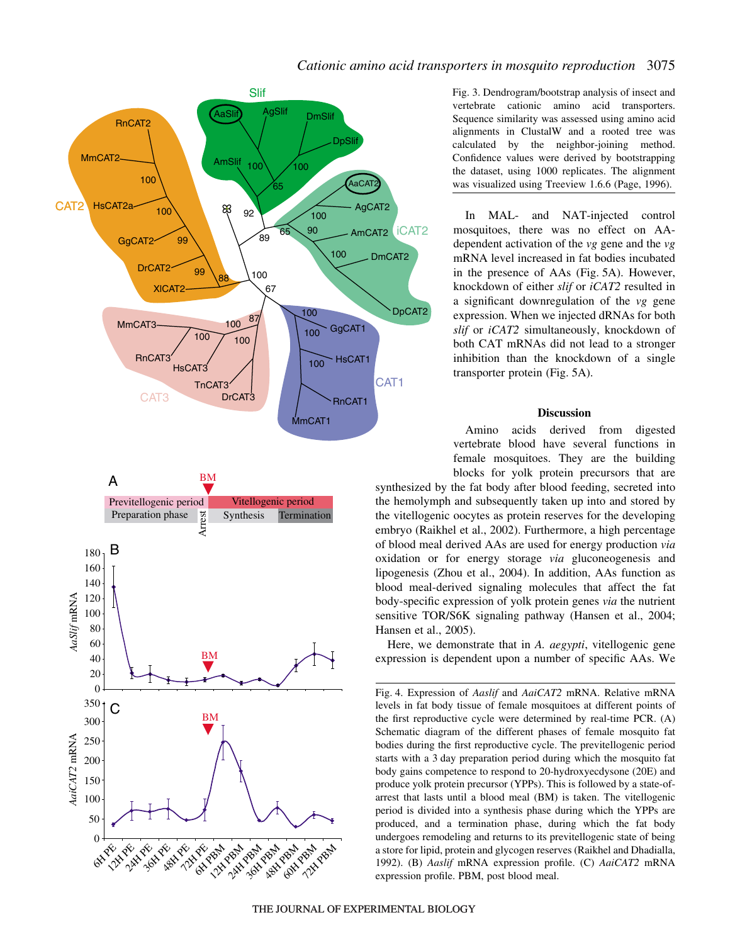# *Cationic amino acid transporters in mosquito reproduction* 3075





Fig. 3. Dendrogram/bootstrap analysis of insect and vertebrate cationic amino acid transporters. Sequence similarity was assessed using amino acid alignments in ClustalW and a rooted tree was calculated by the neighbor-joining method. Confidence values were derived by bootstrapping the dataset, using 1000 replicates. The alignment was visualized using Treeview 1.6.6 (Page, 1996).

In MAL- and NAT-injected control mosquitoes, there was no effect on AAdependent activation of the *vg* gene and the *vg* mRNA level increased in fat bodies incubated in the presence of AAs (Fig. 5A). However, knockdown of either *slif* or *iCAT2* resulted in a significant downregulation of the *vg* gene expression. When we injected dRNAs for both *slif* or *iCAT2* simultaneously, knockdown of both CAT mRNAs did not lead to a stronger inhibition than the knockdown of a single transporter protein (Fig. 5A).

### **Discussion**

Amino acids derived from digested vertebrate blood have several functions in female mosquitoes. They are the building blocks for yolk protein precursors that are

synthesized by the fat body after blood feeding, secreted into the hemolymph and subsequently taken up into and stored by the vitellogenic oocytes as protein reserves for the developing embryo (Raikhel et al., 2002). Furthermore, a high percentage of blood meal derived AAs are used for energy production *via* oxidation or for energy storage *via* gluconeogenesis and lipogenesis (Zhou et al., 2004). In addition, AAs function as blood meal-derived signaling molecules that affect the fat body-specific expression of yolk protein genes *via* the nutrient sensitive TOR/S6K signaling pathway (Hansen et al., 2004; Hansen et al., 2005).

Here, we demonstrate that in *A. aegypti*, vitellogenic gene expression is dependent upon a number of specific AAs. We

Fig. 4. Expression of *Aaslif* and *AaiCAT2* mRNA. Relative mRNA levels in fat body tissue of female mosquitoes at different points of the first reproductive cycle were determined by real-time PCR. (A) Schematic diagram of the different phases of female mosquito fat bodies during the first reproductive cycle. The previtellogenic period starts with a 3 day preparation period during which the mosquito fat body gains competence to respond to 20-hydroxyecdysone (20E) and produce yolk protein precursor (YPPs). This is followed by a state-ofarrest that lasts until a blood meal (BM) is taken. The vitellogenic period is divided into a synthesis phase during which the YPPs are produced, and a termination phase, during which the fat body undergoes remodeling and returns to its previtellogenic state of being a store for lipid, protein and glycogen reserves (Raikhel and Dhadialla, 1992). (B) *Aaslif* mRNA expression profile. (C) *AaiCAT2* mRNA expression profile. PBM, post blood meal.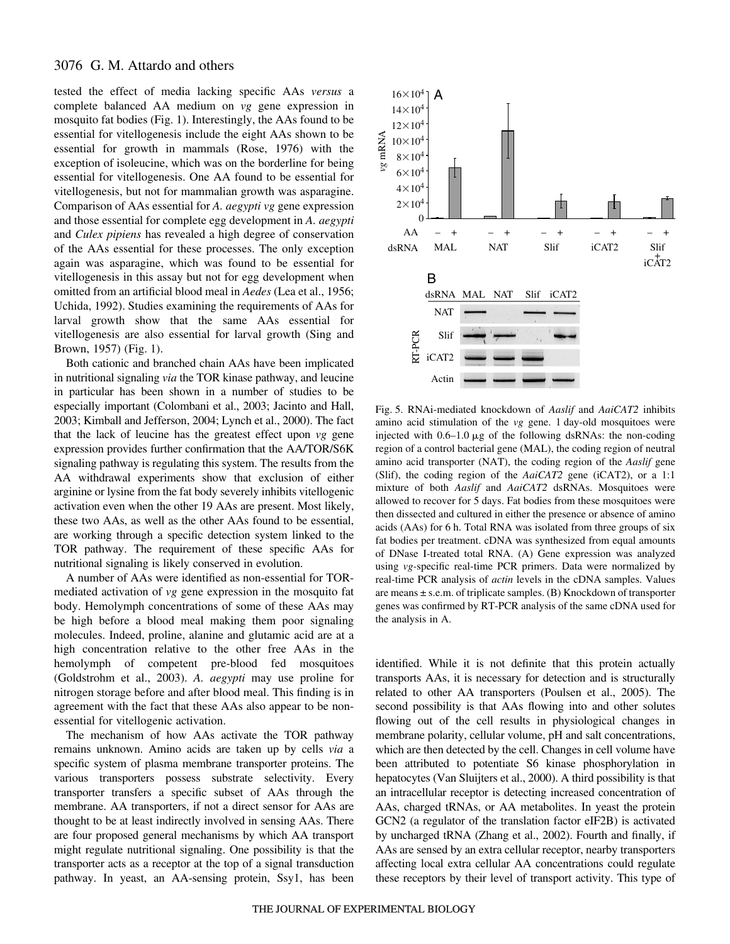## 3076 G. M. Attardo and others

tested the effect of media lacking specific AAs *versus* a complete balanced AA medium on *vg* gene expression in mosquito fat bodies (Fig. 1). Interestingly, the AAs found to be essential for vitellogenesis include the eight AAs shown to be essential for growth in mammals (Rose, 1976) with the exception of isoleucine, which was on the borderline for being essential for vitellogenesis. One AA found to be essential for vitellogenesis, but not for mammalian growth was asparagine. Comparison of AAs essential for *A. aegypti vg* gene expression and those essential for complete egg development in *A. aegypti* and *Culex pipiens* has revealed a high degree of conservation of the AAs essential for these processes. The only exception again was asparagine, which was found to be essential for vitellogenesis in this assay but not for egg development when omitted from an artificial blood meal in *Aedes* (Lea et al., 1956; Uchida, 1992). Studies examining the requirements of AAs for larval growth show that the same AAs essential for vitellogenesis are also essential for larval growth (Sing and Brown,  $1957$ ) (Fig. 1).

Both cationic and branched chain AAs have been implicated in nutritional signaling *via* the TOR kinase pathway, and leucine in particular has been shown in a number of studies to be especially important (Colombani et al., 2003; Jacinto and Hall, 2003; Kimball and Jefferson, 2004; Lynch et al., 2000). The fact that the lack of leucine has the greatest effect upon *vg* gene expression provides further confirmation that the AA/TOR/S6K signaling pathway is regulating this system. The results from the AA withdrawal experiments show that exclusion of either arginine or lysine from the fat body severely inhibits vitellogenic activation even when the other 19 AAs are present. Most likely, these two AAs, as well as the other AAs found to be essential, are working through a specific detection system linked to the TOR pathway. The requirement of these specific AAs for nutritional signaling is likely conserved in evolution.

A number of AAs were identified as non-essential for TORmediated activation of *vg* gene expression in the mosquito fat body. Hemolymph concentrations of some of these AAs may be high before a blood meal making them poor signaling molecules. Indeed, proline, alanine and glutamic acid are at a high concentration relative to the other free AAs in the hemolymph of competent pre-blood fed mosquitoes (Goldstrohm et al., 2003). *A. aegypti* may use proline for nitrogen storage before and after blood meal. This finding is in agreement with the fact that these AAs also appear to be nonessential for vitellogenic activation.

The mechanism of how AAs activate the TOR pathway remains unknown. Amino acids are taken up by cells *via* a specific system of plasma membrane transporter proteins. The various transporters possess substrate selectivity. Every transporter transfers a specific subset of AAs through the membrane. AA transporters, if not a direct sensor for AAs are thought to be at least indirectly involved in sensing AAs. There are four proposed general mechanisms by which AA transport might regulate nutritional signaling. One possibility is that the transporter acts as a receptor at the top of a signal transduction pathway. In yeast, an AA-sensing protein, Ssy1, has been



Fig. 5. RNAi-mediated knockdown of *Aaslif* and *AaiCAT2* inhibits amino acid stimulation of the *vg* gene. 1 day-old mosquitoes were injected with  $0.6-1.0 \mu g$  of the following dsRNAs: the non-coding region of a control bacterial gene (MAL), the coding region of neutral amino acid transporter (NAT), the coding region of the *Aaslif* gene (Slif), the coding region of the *AaiCAT2* gene (iCAT2), or a 1:1 mixture of both *Aaslif* and *AaiCAT2* dsRNAs. Mosquitoes were allowed to recover for 5 days. Fat bodies from these mosquitoes were then dissected and cultured in either the presence or absence of amino acids (AAs) for 6 h. Total RNA was isolated from three groups of six fat bodies per treatment. cDNA was synthesized from equal amounts of DNase I-treated total RNA. (A) Gene expression was analyzed using *vg-*specific real-time PCR primers. Data were normalized by real-time PCR analysis of *actin* levels in the cDNA samples. Values are means ± s.e.m. of triplicate samples. (B) Knockdown of transporter genes was confirmed by RT-PCR analysis of the same cDNA used for the analysis in A.

identified. While it is not definite that this protein actually transports AAs, it is necessary for detection and is structurally related to other AA transporters (Poulsen et al., 2005). The second possibility is that AAs flowing into and other solutes flowing out of the cell results in physiological changes in membrane polarity, cellular volume, pH and salt concentrations, which are then detected by the cell. Changes in cell volume have been attributed to potentiate S6 kinase phosphorylation in hepatocytes (Van Sluijters et al., 2000). A third possibility is that an intracellular receptor is detecting increased concentration of AAs, charged tRNAs, or AA metabolites. In yeast the protein GCN2 (a regulator of the translation factor eIF2B) is activated by uncharged tRNA (Zhang et al., 2002). Fourth and finally, if AAs are sensed by an extra cellular receptor, nearby transporters affecting local extra cellular AA concentrations could regulate these receptors by their level of transport activity. This type of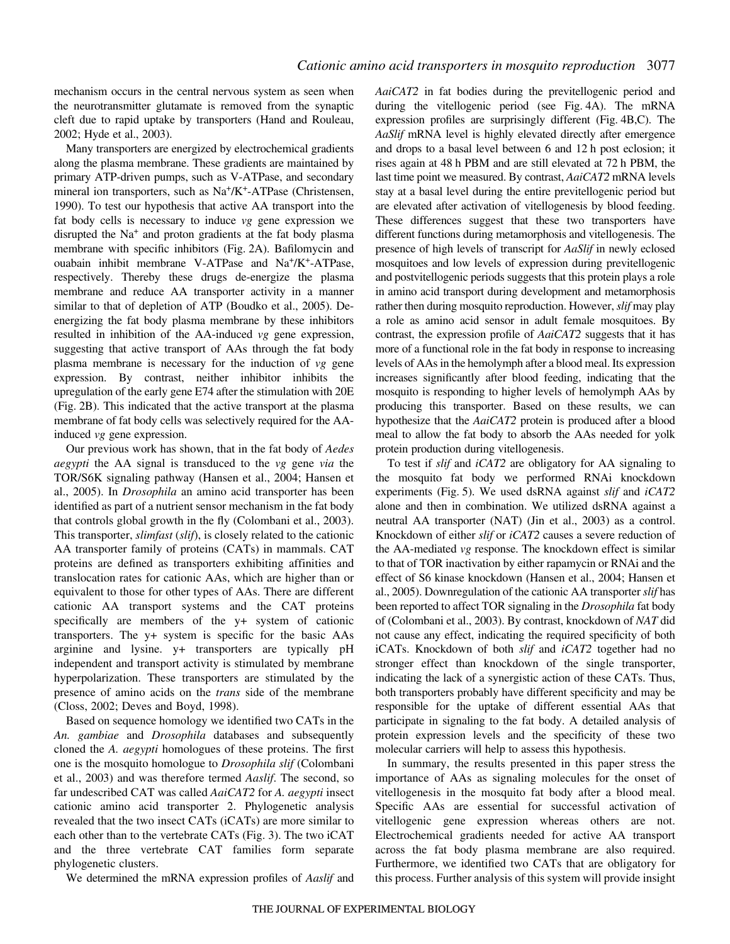mechanism occurs in the central nervous system as seen when the neurotransmitter glutamate is removed from the synaptic cleft due to rapid uptake by transporters (Hand and Rouleau, 2002; Hyde et al., 2003).

Many transporters are energized by electrochemical gradients along the plasma membrane. These gradients are maintained by primary ATP-driven pumps, such as V-ATPase, and secondary mineral ion transporters, such as Na<sup>+</sup>/K<sup>+</sup>-ATPase (Christensen, 1990). To test our hypothesis that active AA transport into the fat body cells is necessary to induce *vg* gene expression we disrupted the Na<sup>+</sup> and proton gradients at the fat body plasma membrane with specific inhibitors (Fig. 2A). Bafilomycin and ouabain inhibit membrane V-ATPase and Na+/K+-ATPase, respectively. Thereby these drugs de-energize the plasma membrane and reduce AA transporter activity in a manner similar to that of depletion of ATP (Boudko et al., 2005). Deenergizing the fat body plasma membrane by these inhibitors resulted in inhibition of the AA-induced *vg* gene expression, suggesting that active transport of AAs through the fat body plasma membrane is necessary for the induction of *vg* gene expression. By contrast, neither inhibitor inhibits the upregulation of the early gene E74 after the stimulation with 20E (Fig. 2B). This indicated that the active transport at the plasma membrane of fat body cells was selectively required for the AAinduced *vg* gene expression.

Our previous work has shown, that in the fat body of *Aedes aegypti* the AA signal is transduced to the *vg* gene *via* the TOR/S6K signaling pathway (Hansen et al., 2004; Hansen et al., 2005). In *Drosophila* an amino acid transporter has been identified as part of a nutrient sensor mechanism in the fat body that controls global growth in the fly (Colombani et al., 2003). This transporter, *slimfast* (*slif*), is closely related to the cationic AA transporter family of proteins (CATs) in mammals. CAT proteins are defined as transporters exhibiting affinities and translocation rates for cationic AAs, which are higher than or equivalent to those for other types of AAs. There are different cationic AA transport systems and the CAT proteins specifically are members of the y+ system of cationic transporters. The y+ system is specific for the basic AAs arginine and lysine. y+ transporters are typically pH independent and transport activity is stimulated by membrane hyperpolarization. These transporters are stimulated by the presence of amino acids on the *trans* side of the membrane (Closs, 2002; Deves and Boyd, 1998).

Based on sequence homology we identified two CATs in the *An. gambiae* and *Drosophila* databases and subsequently cloned the *A. aegypti* homologues of these proteins. The first one is the mosquito homologue to *Drosophila slif* (Colombani et al., 2003) and was therefore termed *Aaslif*. The second, so far undescribed CAT was called *AaiCAT2* for *A. aegypti* insect cationic amino acid transporter 2. Phylogenetic analysis revealed that the two insect CATs (iCATs) are more similar to each other than to the vertebrate CATs (Fig. 3). The two iCAT and the three vertebrate CAT families form separate phylogenetic clusters.

We determined the mRNA expression profiles of *Aaslif* and

*AaiCAT2* in fat bodies during the previtellogenic period and during the vitellogenic period (see Fig. 4A). The mRNA expression profiles are surprisingly different (Fig. 4B,C). The *AaSlif* mRNA level is highly elevated directly after emergence and drops to a basal level between 6 and 12 h post eclosion; it rises again at 48 h PBM and are still elevated at 72 h PBM, the last time point we measured. By contrast, *AaiCAT2* mRNA levels stay at a basal level during the entire previtellogenic period but are elevated after activation of vitellogenesis by blood feeding. These differences suggest that these two transporters have different functions during metamorphosis and vitellogenesis. The presence of high levels of transcript for *AaSlif* in newly eclosed mosquitoes and low levels of expression during previtellogenic and postvitellogenic periods suggests that this protein plays a role in amino acid transport during development and metamorphosis rather then during mosquito reproduction. However, *slif* may play a role as amino acid sensor in adult female mosquitoes. By contrast, the expression profile of *AaiCAT2* suggests that it has more of a functional role in the fat body in response to increasing levels of AAs in the hemolymph after a blood meal. Its expression increases significantly after blood feeding, indicating that the mosquito is responding to higher levels of hemolymph AAs by producing this transporter. Based on these results, we can hypothesize that the *AaiCAT2* protein is produced after a blood meal to allow the fat body to absorb the AAs needed for yolk protein production during vitellogenesis.

To test if *slif* and *iCAT2* are obligatory for AA signaling to the mosquito fat body we performed RNAi knockdown experiments (Fig. 5). We used dsRNA against *slif* and *iCAT2* alone and then in combination. We utilized dsRNA against a neutral AA transporter (NAT) (Jin et al., 2003) as a control. Knockdown of either *slif* or *iCAT2* causes a severe reduction of the AA-mediated *vg* response. The knockdown effect is similar to that of TOR inactivation by either rapamycin or RNAi and the effect of S6 kinase knockdown (Hansen et al., 2004; Hansen et al., 2005). Downregulation of the cationic AA transporter *slif* has been reported to affect TOR signaling in the *Drosophila* fat body of (Colombani et al., 2003). By contrast, knockdown of *NAT* did not cause any effect, indicating the required specificity of both iCATs. Knockdown of both *slif* and *iCAT2* together had no stronger effect than knockdown of the single transporter, indicating the lack of a synergistic action of these CATs. Thus, both transporters probably have different specificity and may be responsible for the uptake of different essential AAs that participate in signaling to the fat body. A detailed analysis of protein expression levels and the specificity of these two molecular carriers will help to assess this hypothesis.

In summary, the results presented in this paper stress the importance of AAs as signaling molecules for the onset of vitellogenesis in the mosquito fat body after a blood meal. Specific AAs are essential for successful activation of vitellogenic gene expression whereas others are not. Electrochemical gradients needed for active AA transport across the fat body plasma membrane are also required. Furthermore, we identified two CATs that are obligatory for this process. Further analysis of this system will provide insight